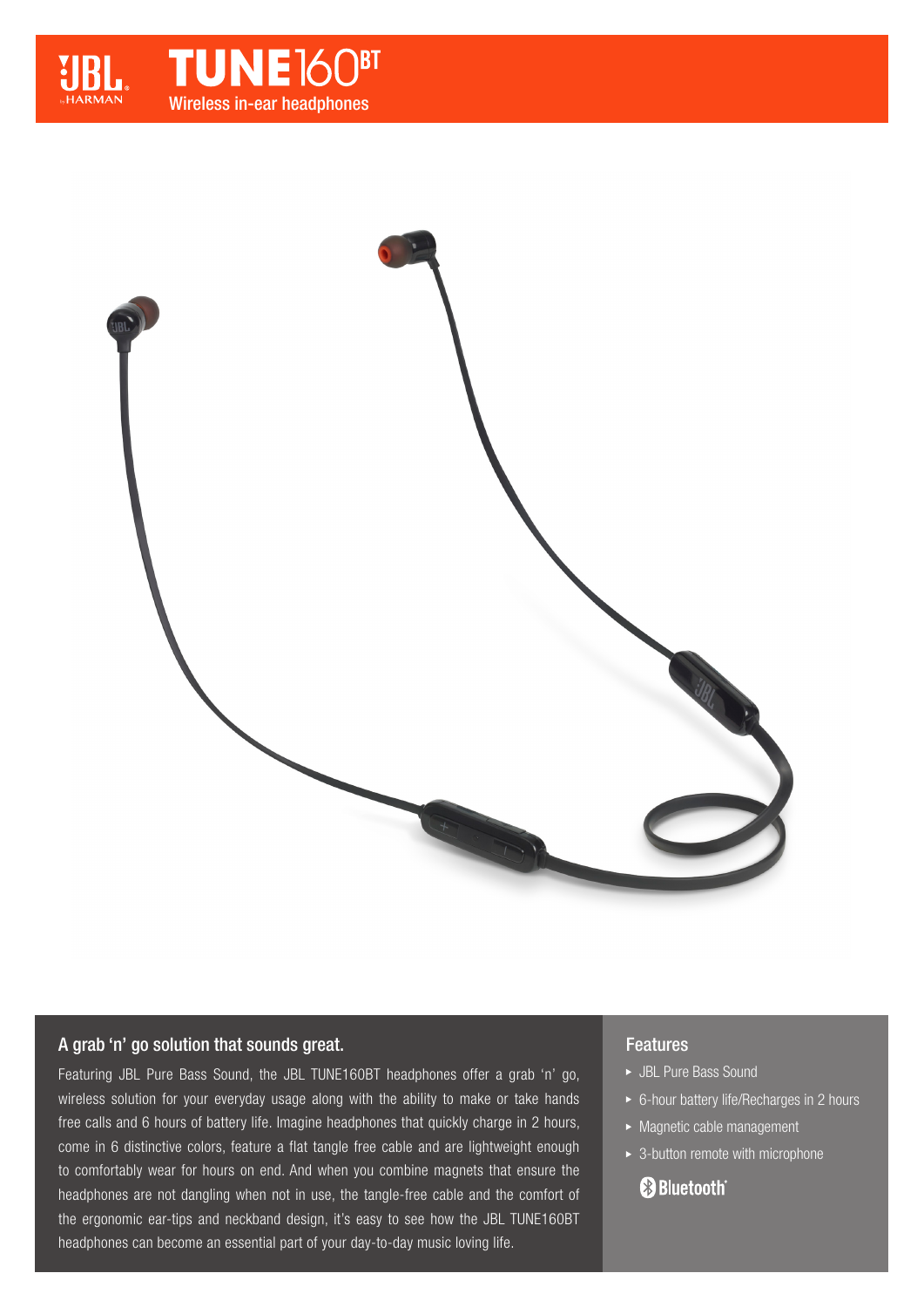



## A grab 'n' go solution that sounds great.

Featuring JBL Pure Bass Sound, the JBL TUNE160BT headphones offer a grab 'n' go, wireless solution for your everyday usage along with the ability to make or take hands free calls and 6 hours of battery life. Imagine headphones that quickly charge in 2 hours, come in 6 distinctive colors, feature a flat tangle free cable and are lightweight enough to comfortably wear for hours on end. And when you combine magnets that ensure the headphones are not dangling when not in use, the tangle-free cable and the comfort of the ergonomic ear-tips and neckband design, it's easy to see how the JBL TUNE160BT headphones can become an essential part of your day-to-day music loving life.

## Features

- JBL Pure Bass Sound
- ► 6-hour battery life/Recharges in 2 hours
- $\blacktriangleright$  Magnetic cable management
- $\rightarrow$  3-button remote with microphone

# **& Bluetooth**®